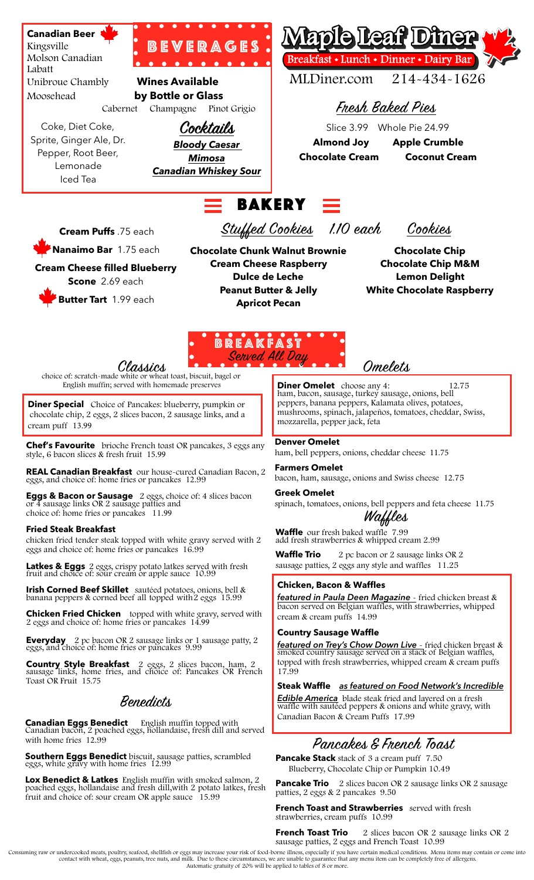

**Chef's Favourite** brioche French toast OR pancakes, 3 eggs any style, 6 bacon slices & fresh fruit 15.99

**REAL Canadian Breakfast** our house-cured Canadian Bacon, 2 eggs, and choice of: home fries or pancakes 12.99

**Eggs & Bacon or Sausage** 2 eggs, choice of: 4 slices bacon or 4 sausage links OR 2 sausage patties and choice of: home fries or pancakes 11.99

#### **Fried Steak Breakfast**

chicken fried tender steak topped with white gravy served with 2 eggs and choice of: home fries or pancakes 16.99

**Latkes & Eggs** 2 eggs, crispy potato latkes served with fresh fruit and choice of: sour cream or apple sauce 10.99

**Irish Corned Beef Skillet** sautéed potatoes, onions, bell & banana peppers & corned beef all topped with 2 eggs 15.99

**Chicken Fried Chicken** topped with white gravy, served with 2 eggs and choice of: home fries or pancakes 14.99

**Everyday** 2 pc bacon OR 2 sausage links or 1 sausage patty, 2 eggs, and choice of: home fries or pancakes 9.99

**Country Style Breakfast** 2 eggs, 2 slices bacon, ham, 2 sausage links, home fries, and choice of: Pancakes OR French Toast OR Fruit 15.75

# Benedicts

**Canadian Eggs Benedict** English muffin topped with Canadian bacon, 2 poached eggs, hollandaise, fresh dill and served with home fries 12.99

**Southern Eggs Benedict** biscuit, sausage patties, scrambled eggs, white gravy with home fries 12.99

**Lox Benedict & Latkes** English muffin with smoked salmon, 2 poached eggs, hollandaise and fresh dill,with 2 potato latkes, fresh fruit and choice of: sour cream OR apple sauce 15.99

mozzarella, pepper jack, feta

## **Denver Omelet**

ham, bell peppers, onions, cheddar cheese 11.75

#### **Farmers Omelet** bacon, ham, sausage, onions and Swiss cheese 12.75

**Greek Omelet**

spinach, tomatoes, onions, bell peppers and feta cheese 11.75

# Waffles

**Waffle** our fresh baked waffle 7.99 add fresh strawberries & whipped cream 2.99

**Waffle Trio** 2 pc bacon or 2 sausage links OR 2 sausage patties, 2 eggs any style and waffles 11.25

#### **Chicken, Bacon & Waffles**

*featured in Paula Deen Magazine* - fried chicken breast & bacon served on Belgian waffles, with strawberries, whipped cream & cream puffs 14.99

#### **Country Sausage Waffle**

*featured on Trey's Chow Down Live* - fried chicken breast & smoked country sausage served on a stack of Belgian waffles, topped with fresh strawberries, whipped cream & cream puffs 17.99

**Steak Waffle** *as featured on Food Network's Incredible* 

*Edible America* blade steak fried and layered on a fresh waffle with sautéed peppers & onions and white gravy, with Canadian Bacon & Cream Puffs 17.99

# Pancakes & French Toast

**Pancake Stack** stack of 3 a cream puff 7.50 Blueberry, Chocolate Chip or Pumpkin 10.49

**Pancake Trio** 2 slices bacon OR 2 sausage links OR 2 sausage patties, 2 eggs & 2 pancakes 9.50

**French Toast and Strawberries** served with fresh strawberries, cream puffs 10.99

**French Toast Trio** 2 slices bacon OR 2 sausage links OR 2 sausage patties, 2 eggs and French Toast 10.99

Consuming raw or undercooked meats, poultry, seafood, shellfish or eggs may increase your risk of food-borne illness, especially if you have certain medical conditions. Menu items may contain or come into<br>contact with whea Automatic gratuity of 20% will be applied to tables of 8 or more.